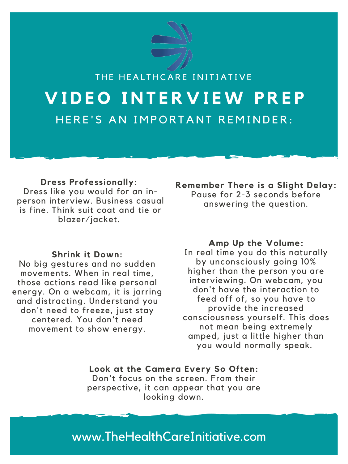**Dress Professionally:** Dress like you would for an inperson interview. Business casual is fine. Think suit coat and tie or blazer/jacket.

> **Look at the Camera Every So Often:** Don't focus on the screen. From their perspective, it can appear that you are looking down.

**Shrink it Down:** No big gestures and no sudden movements. When in real time, those actions read like personal energy. On a webcam, it is jarring and distracting. Understand you don't need to freeze, just stay centered. You don't need movement to show energy.

**Amp Up the Volume:**

In real time you do this naturally by unconsciously going 10% higher than the person you are interviewing. On webcam, you don't have the interaction to feed off of, so you have to provide the increased consciousness yourself. This does not mean being extremely amped, just a little higher than you would normally speak.



**Remember There is a Slight Delay:** Pause for 2-3 seconds before answering the question.

www.TheHealthCareInitiative.com